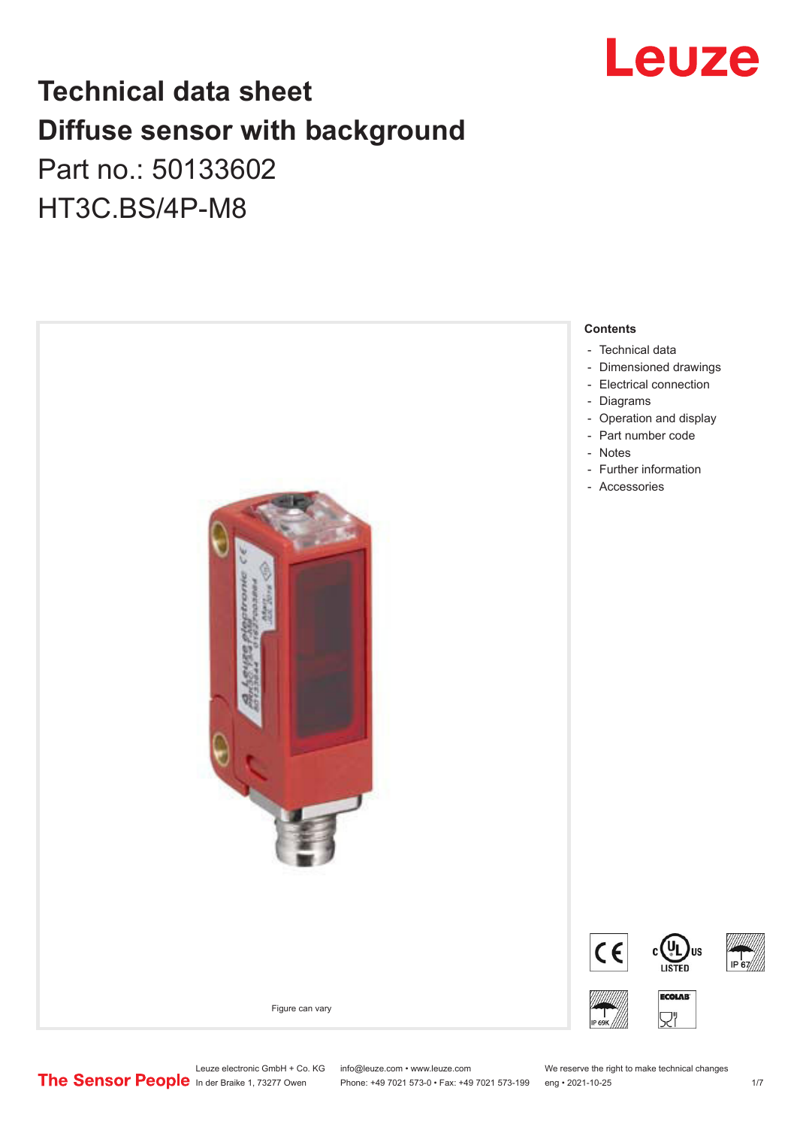

## **Technical data sheet Diffuse sensor with background**  Part no.: 50133602

HT3C.BS/4P-M8



Leuze electronic GmbH + Co. KG info@leuze.com • www.leuze.com We reserve the right to make technical changes<br>
The Sensor People in der Braike 1, 73277 Owen Phone: +49 7021 573-0 • Fax: +49 7021 573-199 eng • 2021-10-25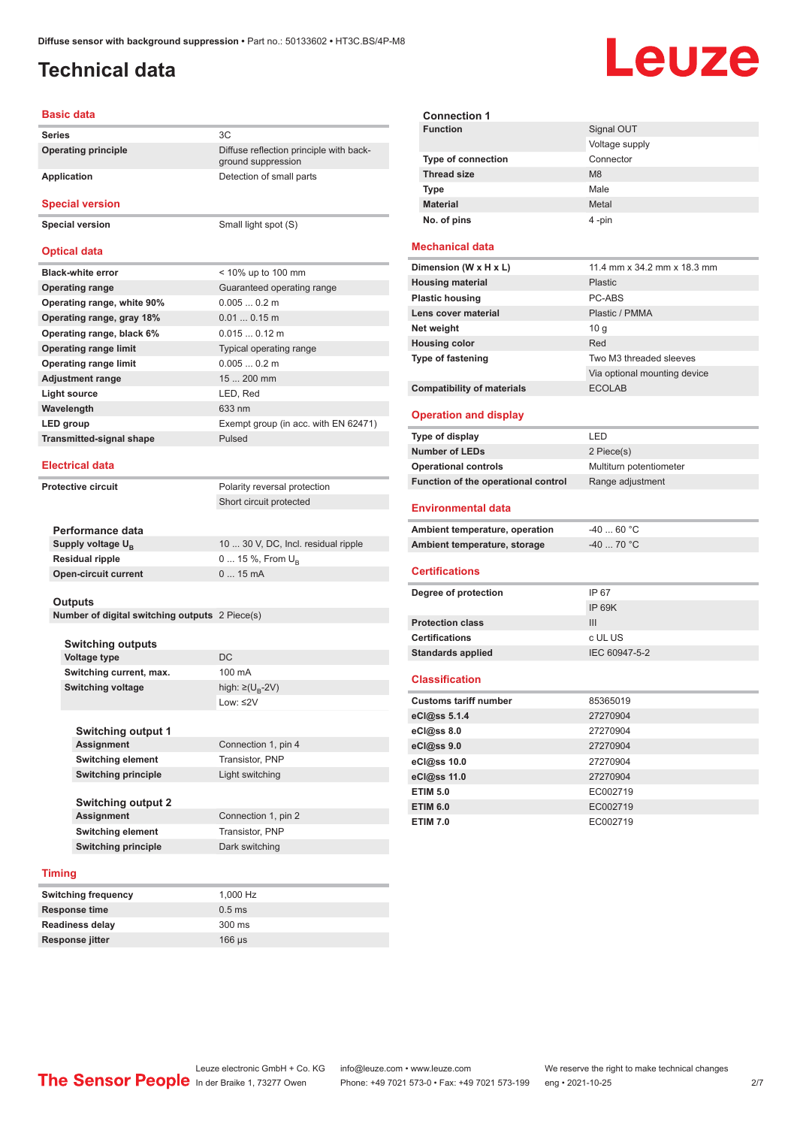### <span id="page-1-0"></span>**Technical data**

# Leuze

#### **Basic data**

| <b>Series</b>                   | 3C                                                            |
|---------------------------------|---------------------------------------------------------------|
| <b>Operating principle</b>      | Diffuse reflection principle with back-<br>ground suppression |
| Application                     | Detection of small parts                                      |
| <b>Special version</b>          |                                                               |
| <b>Special version</b>          | Small light spot (S)                                          |
| <b>Optical data</b>             |                                                               |
| <b>Black-white error</b>        | < 10% up to 100 mm                                            |
| <b>Operating range</b>          | Guaranteed operating range                                    |
| Operating range, white 90%      | 0.0050.2 m                                                    |
| Operating range, gray 18%       | $0.010.15$ m                                                  |
| Operating range, black 6%       | $0.0150.12$ m                                                 |
| <b>Operating range limit</b>    | Typical operating range                                       |
| <b>Operating range limit</b>    | 0.0050.2 m                                                    |
| <b>Adjustment range</b>         | $15200$ mm                                                    |
| <b>Light source</b>             | LED, Red                                                      |
| Wavelength                      | 633 nm                                                        |
| LED group                       | Exempt group (in acc. with EN 62471)                          |
| <b>Transmitted-signal shape</b> | Pulsed                                                        |
|                                 |                                                               |

#### **Electrical data**

**Protective circuit** Polarity reversal protection

Short circuit protected

| Performance data              |                                     |
|-------------------------------|-------------------------------------|
| Supply voltage U <sub>p</sub> | 10  30 V, DC, Incl. residual ripple |
| <b>Residual ripple</b>        | $0 15 \%$ , From $U_{p}$            |
| <b>Open-circuit current</b>   | $015$ mA                            |
|                               |                                     |

#### **Outputs**

**Number of digital switching outputs** 2 Piece(s)

| <b>Switching outputs</b> |                                   |
|--------------------------|-----------------------------------|
| <b>Voltage type</b>      | DC.                               |
| Switching current, max.  | 100 mA                            |
| <b>Switching voltage</b> | high: $\geq$ (U <sub>B</sub> -2V) |
|                          | Low: $\leq$ 2V                    |

| <b>Switching output 1</b>  |                     |  |
|----------------------------|---------------------|--|
| <b>Assignment</b>          | Connection 1, pin 4 |  |
| <b>Switching element</b>   | Transistor, PNP     |  |
| <b>Switching principle</b> | Light switching     |  |
| <b>Switching output 2</b>  |                     |  |
| <b>Assignment</b>          | Connection 1, pin 2 |  |
| <b>Switching element</b>   | Transistor, PNP     |  |
| <b>Switching principle</b> | Dark switching      |  |

#### **Timing**

| <b>Switching frequency</b> | 1.000 Hz         |
|----------------------------|------------------|
| Response time              | $0.5$ ms         |
| <b>Readiness delay</b>     | $300 \text{ ms}$ |
| Response jitter            | $166 \mu s$      |

#### **Mechanical data**

| 11.4 mm x 34.2 mm x 18.3 mm  |
|------------------------------|
| <b>Plastic</b>               |
| PC-ABS                       |
| Plastic / PMMA               |
| 10q                          |
| Red                          |
| Two M3 threaded sleeves      |
| Via optional mounting device |
| <b>ECOLAB</b>                |
|                              |

#### **Operation and display**

| Type of display                     | I FD.                   |
|-------------------------------------|-------------------------|
| <b>Number of LEDs</b>               | 2 Piece(s)              |
| <b>Operational controls</b>         | Multiturn potentiometer |
| Function of the operational control | Range adjustment        |

#### **Environmental data**

| Ambient temperature, operation | -40  60 °C |
|--------------------------------|------------|
| Ambient temperature, storage   | -40  70 °C |

#### **Certifications**

| Degree of protection     | IP 67         |
|--------------------------|---------------|
|                          | IP 69K        |
| <b>Protection class</b>  | Ш             |
| <b>Certifications</b>    | c UL US       |
| <b>Standards applied</b> | IEC 60947-5-2 |
|                          |               |

#### **Classification**

| <b>Customs tariff number</b> | 85365019 |
|------------------------------|----------|
| eCl@ss 5.1.4                 | 27270904 |
| $eC/\omega$ ss 8.0           | 27270904 |
| eCl@ss 9.0                   | 27270904 |
| eCl@ss 10.0                  | 27270904 |
| eCl@ss 11.0                  | 27270904 |
| <b>ETIM 5.0</b>              | EC002719 |
| <b>ETIM 6.0</b>              | EC002719 |
| <b>ETIM 7.0</b>              | EC002719 |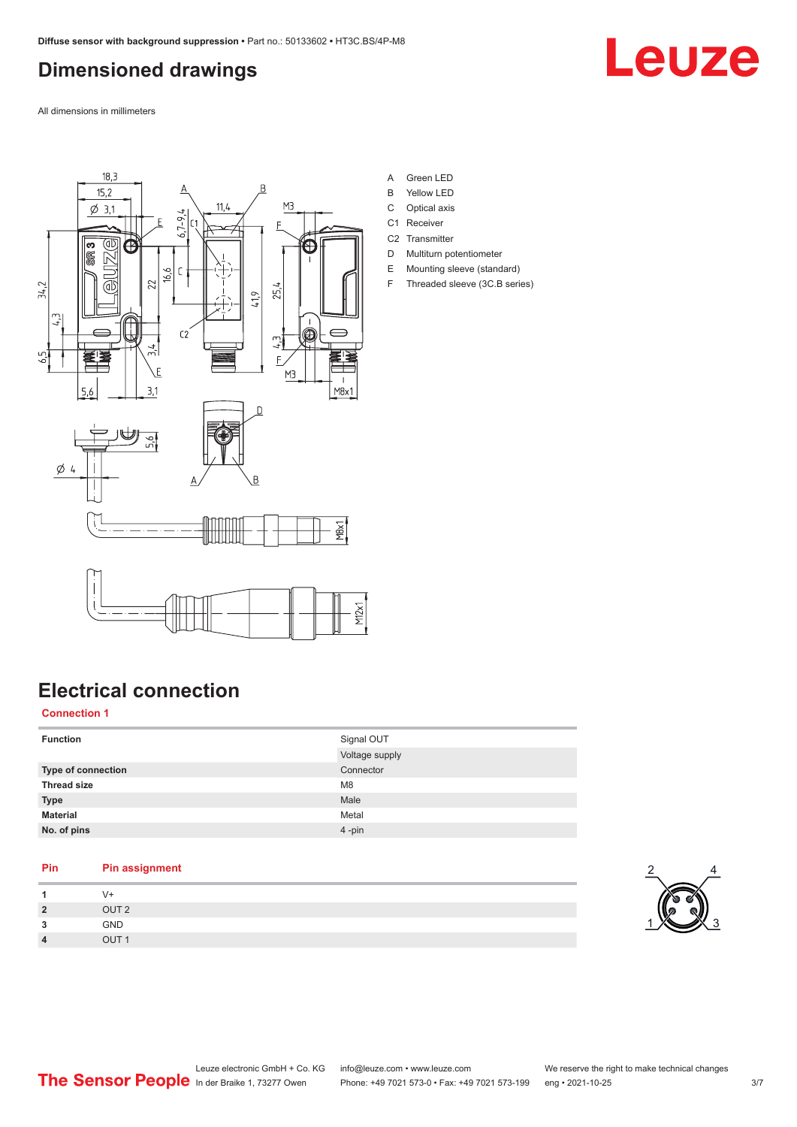### <span id="page-2-0"></span>**Dimensioned drawings**

Leuze

All dimensions in millimeters



- A Green LED
- B Yellow LED
- C Optical axis
- C1 Receiver
- C<sub>2</sub> Transmitter
- D Multiturn potentiometer E Mounting sleeve (standard)
- F Threaded sleeve (3C.B series)

### **Electrical connection**

**Connection 1**

| <b>Function</b>    | Signal OUT     |
|--------------------|----------------|
|                    | Voltage supply |
| Type of connection | Connector      |
| <b>Thread size</b> | M <sub>8</sub> |
| <b>Type</b>        | Male           |
| <b>Material</b>    | Metal          |
| No. of pins        | 4-pin          |

#### **Pin Pin assignment 1** V+ **2** OUT 2 **3** GND

**4** OUT 1

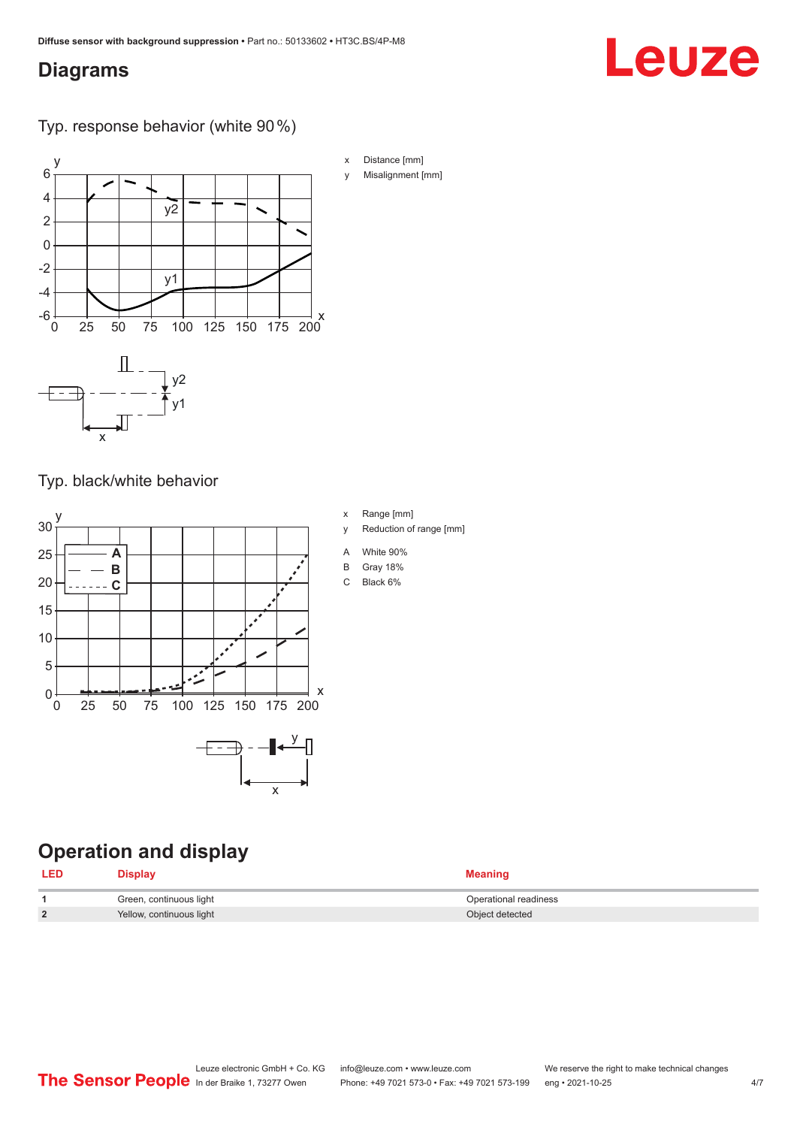### <span id="page-3-0"></span>**Diagrams**

#### Typ. response behavior (white 90 %)



Typ. black/white behavior



### **Operation and display**

| <b>LED</b>    | <b>Display</b>           | <b>Meaning</b>        |
|---------------|--------------------------|-----------------------|
|               | Green, continuous light  | Operational readiness |
| $\mathcal{P}$ | Yellow, continuous light | Object detected       |

x Distance [mm]

y Misalignment [mm]

Leuze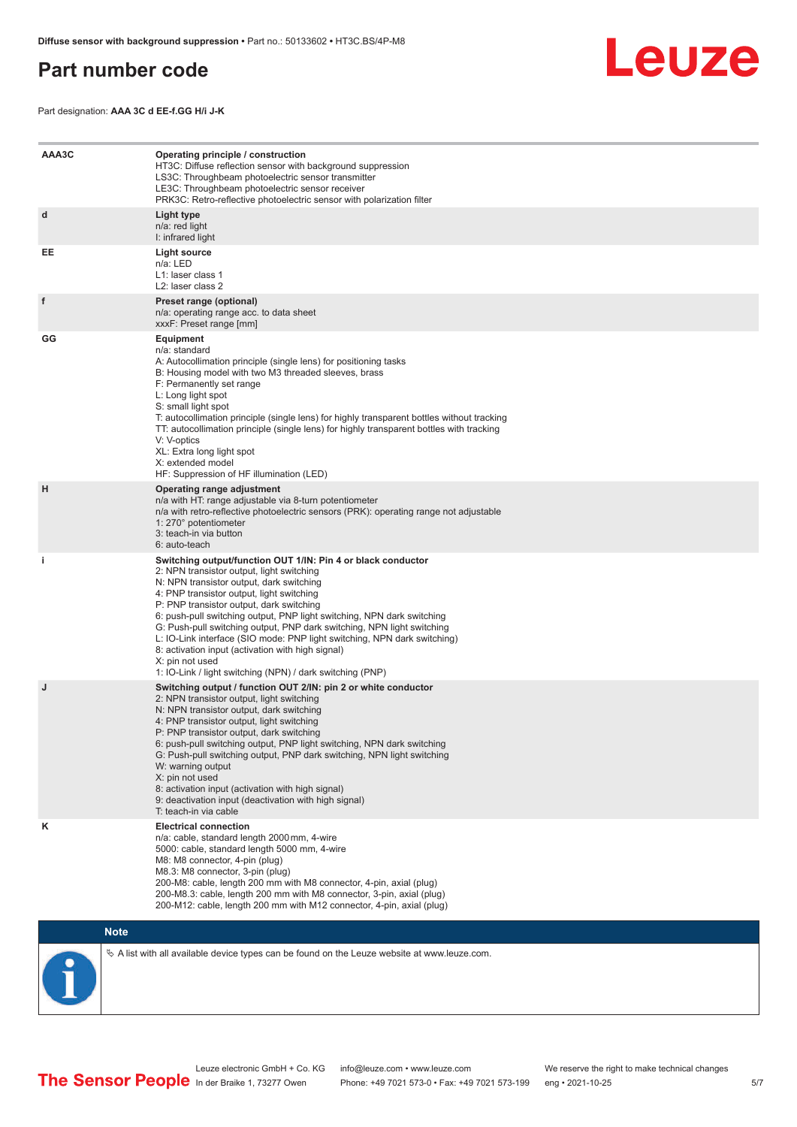#### <span id="page-4-0"></span>**Part number code**



Part designation: **AAA 3C d EE-f.GG H/i J-K**

| AAA3C | Operating principle / construction<br>HT3C: Diffuse reflection sensor with background suppression<br>LS3C: Throughbeam photoelectric sensor transmitter<br>LE3C: Throughbeam photoelectric sensor receiver<br>PRK3C: Retro-reflective photoelectric sensor with polarization filter                                                                                                                                                                                                                                                                                                                                 |
|-------|---------------------------------------------------------------------------------------------------------------------------------------------------------------------------------------------------------------------------------------------------------------------------------------------------------------------------------------------------------------------------------------------------------------------------------------------------------------------------------------------------------------------------------------------------------------------------------------------------------------------|
| d     | Light type<br>n/a: red light<br>I: infrared light                                                                                                                                                                                                                                                                                                                                                                                                                                                                                                                                                                   |
| EE    | Light source<br>n/a: LED<br>L1: laser class 1<br>L <sub>2</sub> : laser class 2                                                                                                                                                                                                                                                                                                                                                                                                                                                                                                                                     |
| f     | Preset range (optional)<br>n/a: operating range acc. to data sheet<br>xxxF: Preset range [mm]                                                                                                                                                                                                                                                                                                                                                                                                                                                                                                                       |
| GG    | <b>Equipment</b><br>n/a: standard<br>A: Autocollimation principle (single lens) for positioning tasks<br>B: Housing model with two M3 threaded sleeves, brass<br>F: Permanently set range<br>L: Long light spot<br>S: small light spot<br>T: autocollimation principle (single lens) for highly transparent bottles without tracking<br>TT: autocollimation principle (single lens) for highly transparent bottles with tracking<br>V: V-optics<br>XL: Extra long light spot<br>X: extended model<br>HF: Suppression of HF illumination (LED)                                                                       |
| н     | Operating range adjustment<br>n/a with HT: range adjustable via 8-turn potentiometer<br>n/a with retro-reflective photoelectric sensors (PRK): operating range not adjustable<br>1: 270° potentiometer<br>3: teach-in via button<br>6: auto-teach                                                                                                                                                                                                                                                                                                                                                                   |
| i.    | Switching output/function OUT 1/IN: Pin 4 or black conductor<br>2: NPN transistor output, light switching<br>N: NPN transistor output, dark switching<br>4: PNP transistor output, light switching<br>P: PNP transistor output, dark switching<br>6: push-pull switching output, PNP light switching, NPN dark switching<br>G: Push-pull switching output, PNP dark switching, NPN light switching<br>L: IO-Link interface (SIO mode: PNP light switching, NPN dark switching)<br>8: activation input (activation with high signal)<br>X: pin not used<br>1: IO-Link / light switching (NPN) / dark switching (PNP) |
| J     | Switching output / function OUT 2/IN: pin 2 or white conductor<br>2: NPN transistor output, light switching<br>N: NPN transistor output, dark switching<br>4: PNP transistor output, light switching<br>P: PNP transistor output, dark switching<br>6: push-pull switching output, PNP light switching, NPN dark switching<br>G: Push-pull switching output, PNP dark switching, NPN light switching<br>W: warning output<br>X: pin not used<br>8: activation input (activation with high signal)<br>9: deactivation input (deactivation with high signal)<br>T: teach-in via cable                                 |
| κ     | <b>Electrical connection</b><br>n/a: cable, standard length 2000 mm, 4-wire<br>5000: cable, standard length 5000 mm, 4-wire<br>M8: M8 connector, 4-pin (plug)<br>M8.3: M8 connector, 3-pin (plug)<br>200-M8: cable, length 200 mm with M8 connector, 4-pin, axial (plug)<br>200-M8.3: cable, length 200 mm with M8 connector, 3-pin, axial (plug)<br>200-M12: cable, length 200 mm with M12 connector, 4-pin, axial (plug)                                                                                                                                                                                          |

### **Note**

 $\%$  A list with all available device types can be found on the Leuze website at www.leuze.com.

5/7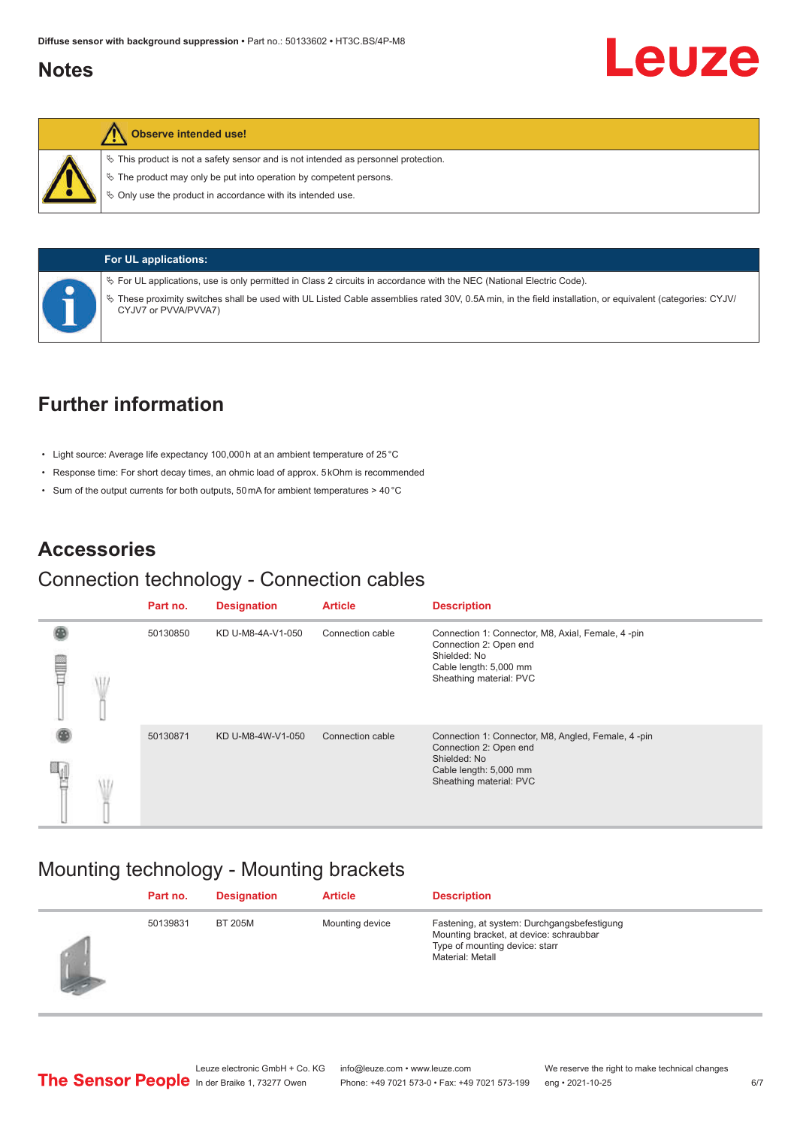### <span id="page-5-0"></span>**Notes**



#### **Observe intended use!**

 $\%$  This product is not a safety sensor and is not intended as personnel protection.

 $\ddot{\phi}$  The product may only be put into operation by competent persons.

 $\%$  Only use the product in accordance with its intended use.



|  |  |  | UL applications: |  |
|--|--|--|------------------|--|
|--|--|--|------------------|--|

ª For UL applications, use is only permitted in Class 2 circuits in accordance with the NEC (National Electric Code).

ª These proximity switches shall be used with UL Listed Cable assemblies rated 30V, 0.5A min, in the field installation, or equivalent (categories: CYJV/ CYJV7 or PVVA/PVVA7)

### **Further information**

- Light source: Average life expectancy 100,000 h at an ambient temperature of 25 °C
- Response time: For short decay times, an ohmic load of approx. 5 kOhm is recommended
- Sum of the output currents for both outputs, 50 mA for ambient temperatures > 40 °C

### **Accessories**

#### Connection technology - Connection cables

|   | Part no. | <b>Designation</b> | <b>Article</b>   | <b>Description</b>                                                                                                                                |
|---|----------|--------------------|------------------|---------------------------------------------------------------------------------------------------------------------------------------------------|
| ▤ | 50130850 | KD U-M8-4A-V1-050  | Connection cable | Connection 1: Connector, M8, Axial, Female, 4-pin<br>Connection 2: Open end<br>Shielded: No<br>Cable length: 5,000 mm<br>Sheathing material: PVC  |
|   | 50130871 | KD U-M8-4W-V1-050  | Connection cable | Connection 1: Connector, M8, Angled, Female, 4-pin<br>Connection 2: Open end<br>Shielded: No<br>Cable length: 5,000 mm<br>Sheathing material: PVC |

### Mounting technology - Mounting brackets

| Part no. | <b>Designation</b> | <b>Article</b>  | <b>Description</b>                                                                                                                           |
|----------|--------------------|-----------------|----------------------------------------------------------------------------------------------------------------------------------------------|
| 50139831 | <b>BT 205M</b>     | Mounting device | Fastening, at system: Durchgangsbefestigung<br>Mounting bracket, at device: schraubbar<br>Type of mounting device: starr<br>Material: Metall |

Leuze